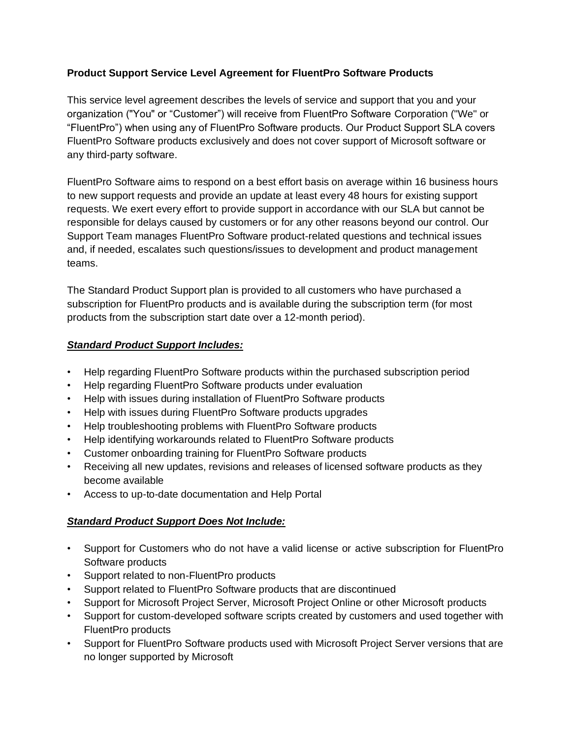# **Product Support Service Level Agreement for FluentPro Software Products**

This service level agreement describes the levels of service and support that you and your organization ("You" or "Customer") will receive from FluentPro Software Corporation ("We" or "FluentPro") when using any of FluentPro Software products. Our Product Support SLA covers FluentPro Software products exclusively and does not cover support of Microsoft software or any third-party software.

FluentPro Software aims to respond on a best effort basis on average within 16 business hours to new support requests and provide an update at least every 48 hours for existing support requests. We exert every effort to provide support in accordance with our SLA but cannot be responsible for delays caused by customers or for any other reasons beyond our control. Our Support Team manages FluentPro Software product-related questions and technical issues and, if needed, escalates such questions/issues to development and product management teams.

The Standard Product Support plan is provided to all customers who have purchased a subscription for FluentPro products and is available during the subscription term (for most products from the subscription start date over a 12-month period).

# *Standard Product Support Includes:*

- Help regarding FluentPro Software products within the purchased subscription period
- Help regarding FluentPro Software products under evaluation
- Help with issues during installation of FluentPro Software products
- Help with issues during FluentPro Software products upgrades
- Help troubleshooting problems with FluentPro Software products
- Help identifying workarounds related to FluentPro Software products
- Customer onboarding training for FluentPro Software products
- Receiving all new updates, revisions and releases of licensed software products as they become available
- Access to up-to-date documentation and Help Portal

# *Standard Product Support Does Not Include:*

- Support for Customers who do not have a valid license or active subscription for FluentPro Software products
- Support related to non-FluentPro products
- Support related to FluentPro Software products that are discontinued
- Support for Microsoft Project Server, Microsoft Project Online or other Microsoft products
- Support for custom-developed software scripts created by customers and used together with FluentPro products
- Support for FluentPro Software products used with Microsoft Project Server versions that are no longer supported by Microsoft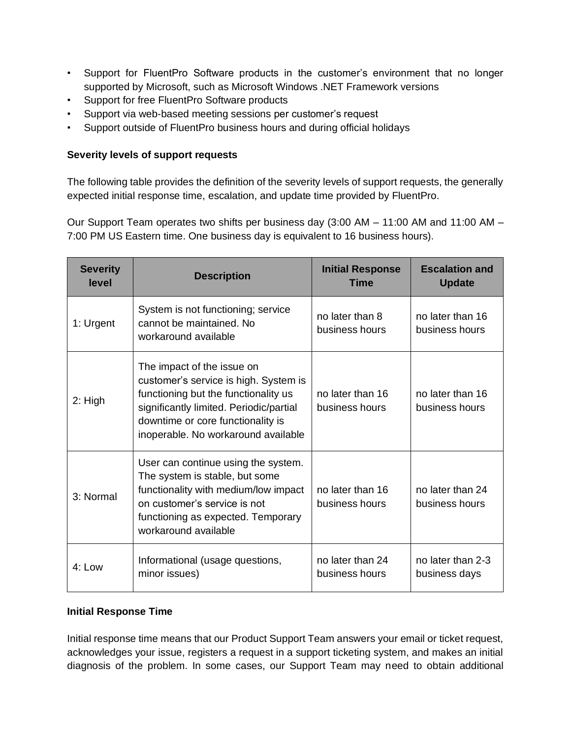- Support for FluentPro Software products in the customer's environment that no longer supported by Microsoft, such as Microsoft Windows .NET Framework versions
- Support for free FluentPro Software products
- Support via web-based meeting sessions per customer's request
- Support outside of FluentPro business hours and during official holidays

### **Severity levels of support requests**

The following table provides the definition of the severity levels of support requests, the generally expected initial response time, escalation, and update time provided by FluentPro.

Our Support Team operates two shifts per business day (3:00 AM – 11:00 AM and 11:00 AM – 7:00 PM US Eastern time. One business day is equivalent to 16 business hours).

| <b>Severity</b><br>level | <b>Description</b>                                                                                                                                                                                                                 | <b>Initial Response</b><br>Time    | <b>Escalation and</b><br><b>Update</b> |
|--------------------------|------------------------------------------------------------------------------------------------------------------------------------------------------------------------------------------------------------------------------------|------------------------------------|----------------------------------------|
| 1: Urgent                | System is not functioning; service<br>cannot be maintained. No<br>workaround available                                                                                                                                             | no later than 8<br>business hours  | no later than 16<br>business hours     |
| $2:$ High                | The impact of the issue on<br>customer's service is high. System is<br>functioning but the functionality us<br>significantly limited. Periodic/partial<br>downtime or core functionality is<br>inoperable. No workaround available | no later than 16<br>business hours | no later than 16<br>business hours     |
| 3: Normal                | User can continue using the system.<br>The system is stable, but some<br>functionality with medium/low impact<br>on customer's service is not<br>functioning as expected. Temporary<br>workaround available                        | no later than 16<br>business hours | no later than 24<br>business hours     |
| 4: Low                   | Informational (usage questions,<br>minor issues)                                                                                                                                                                                   | no later than 24<br>business hours | no later than 2-3<br>business days     |

#### **Initial Response Time**

Initial response time means that our Product Support Team answers your email or ticket request, acknowledges your issue, registers a request in a support ticketing system, and makes an initial diagnosis of the problem. In some cases, our Support Team may need to obtain additional